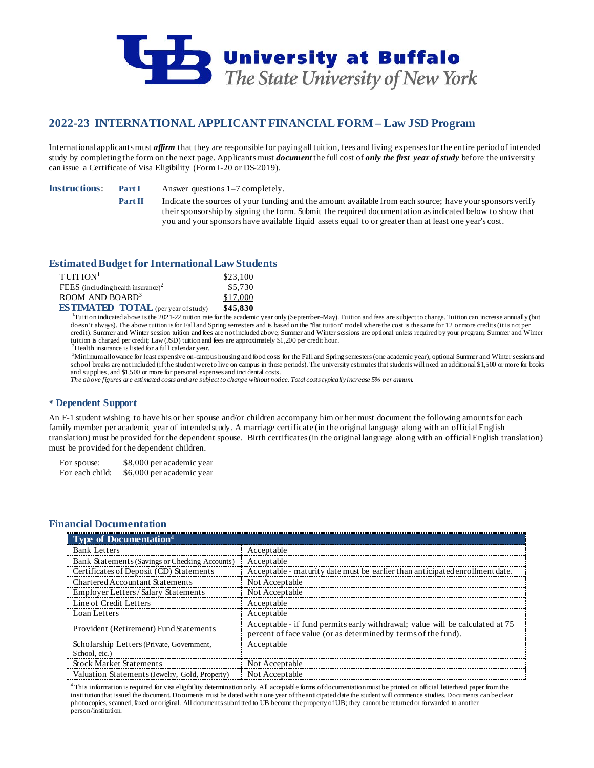

# **2022-23 INTERNATIONAL APPLICANT FINANCIAL FORM – Law JSD Program**

International applicants must *affirm* that they are responsible for paying all tuition, fees and living expenses for the entire period of intended study by completing the form on the next page. Applicants must *document* the full cost of *only the first year of study* before the university can issue a Certificate of Visa Eligibility (Form I-20 or DS-2019).

**Instructions: Part I** Answer questions 1–7 completely.

**Part II** Indicate the sources of your funding and the amount available from each source; have your sponsors verify their sponsorship by signing the form. Submit the required documentation as indicated below to show that you and your sponsors have available liquid assets equal to or greater than at least one year's cost.

# **Estimated Budget for International LawStudents**

| $T$ UITION <sup>1</sup>                        | \$23,100 |
|------------------------------------------------|----------|
| FEES (including health insurance) <sup>2</sup> | \$5,730  |
| ROOM AND BOARD <sup>3</sup>                    | \$17,000 |
| <b>ESTIMATED TOTAL</b> (per year of study)     | \$45,830 |

<sup>1</sup>Tuition indicated above is the 2021-22 tuition rate for the academic year only (September–May). Tuition and fees are subject to change. Tuition can increase annually (but doesn't always). The above tuition is for Fall and Spring semesters and is based on the "flat tuition" model where the cost is the same for 12 or more credits (it is not per credit). Summer and Winter session tuition and fees are not included above; Summer and Winter sessions are optional unless required by your program; Summer and Winter tuition is charged per credit; Law (JSD) tuition and fees are approximately \$1,200 per credit hour.

 ${}^{2}$ Health insurance is listed for a full calendar year.

3 Minimum allowance for least expensive on-campus housing and food costs for the Fall and Spring semesters (one academic year); optional Summer and Winter sessions and school breaks are not included (if the student were to live on campus in those periods). The university estimates that students will need an additional \$1,500 or more for books and supplies, and \$1,500 or more for personal expenses and incidental costs.

*The above figures are estimated costs and are subject to change without notice. Total costs typically increase 5% per annum.*

# **Dependent Support**

An F-1 student wishing to have his or her spouse and/or children accompany him or her must document the following amounts for each family member per academic year of intended study. A marriage certificate (in the original language along with an official English translation) must be provided for the dependent spouse. Birth certificates (in the original language along with an official English translation) must be provided for the dependent children.

For spouse: \$8,000 per academic year For each child: \$6,000 per academic year

# **Financial Documentation**

| <b>Type of Documentation</b> <sup>4</sup>      |                                                                                                                                                 |
|------------------------------------------------|-------------------------------------------------------------------------------------------------------------------------------------------------|
| <b>Bank Letters</b>                            | Acceptable                                                                                                                                      |
| Bank Statements (Savings or Checking Accounts) | Acceptable                                                                                                                                      |
| Certificates of Deposit (CD) Statements        | Acceptable - maturity date must be earlier than anticipated enrollment date.                                                                    |
| <b>Chartered Accountant Statements</b>         | Not Acceptable                                                                                                                                  |
| Employer Letters / Salary Statements           | Not Acceptable                                                                                                                                  |
| Line of Credit Letters                         | Acceptable                                                                                                                                      |
| Loan Letters                                   | Acceptable                                                                                                                                      |
| Provident (Retirement) Fund Statements         | Acceptable - if fund permits early withdrawal; value will be calculated at 75<br>percent of face value (or as determined by terms of the fund). |
| Scholarship Letters (Private, Government,      | Acceptable                                                                                                                                      |
| School, etc.)                                  |                                                                                                                                                 |
| <b>Stock Market Statements</b>                 | Not Acceptable                                                                                                                                  |
| Valuation Statements (Jewelry, Gold, Property) | Not Acceptable                                                                                                                                  |

<sup>4</sup> This information is required for visa eligibility determination only. All acceptable forms of documentation must be printed on official letterhead paper from the institution that issued the document. Documents must be dated within one year of the anticipated date the student will commence studies. Documents can be clear photocopies, scanned, faxed or original. All documents submitted to UB become the property of UB; they cannot be returned or forwarded to another person/institution.